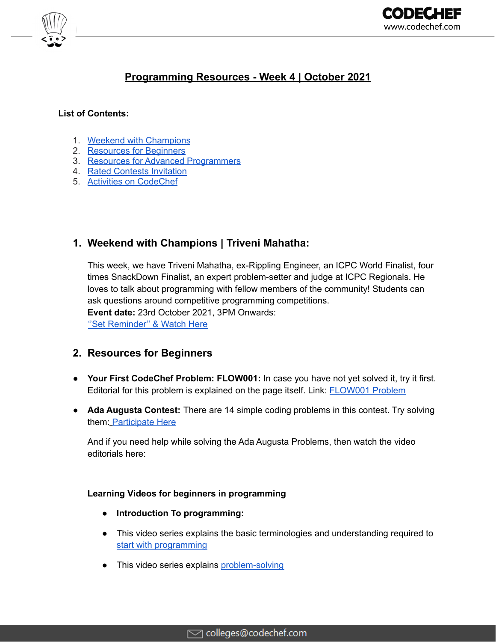

# **Programming Resources - Week 4 | October 2021**

### **List of Contents:**

- 1. Weekend with [Champions](#page-0-0)
- 2. Resources for Beginners
- 3. Resources for Advanced Programmers
- 4. Rated Contests Invitation
- 5. Activities on CodeChef

# <span id="page-0-0"></span>**1. Weekend with Champions | Triveni Mahatha:**

This week, we have Triveni Mahatha, ex-Rippling Engineer, an ICPC World Finalist, four times SnackDown Finalist, an expert problem-setter and judge at ICPC Regionals. He loves to talk about programming with fellow members of the community! Students can ask questions around competitive programming competitions. **Event date:** 23rd October 2021, 3PM Onwards: "Set Reminder" & Watch Here

# **2. Resources for Beginners**

- **Your First CodeChef Problem: FLOW001:** In case you have not yet solved it, try it first. Editorial for this problem is explained on the page itself. Link: [FLOW001](https://www.codechef.com/problems/FLOW001?utm_source=email&utm_medium=outreach&utm_campaign=CC_Contests) Problem
- **Ada Augusta Contest:** There are 14 simple coding problems in this contest. Try solving them: [Participate](https://www.codechef.com/CCADAAUG?utm_source=email&utm_medium=outreach&utm_campaign=Augusta) Here

And if you need help while solving the Ada Augusta Problems, then watch the video editorials here:

### **Learning Videos for beginners in programming**

- **● Introduction To programming:**
- This video series explains the basic terminologies and understanding required to start with [programming](https://youtube.com/playlist?list=PLQXZIFwMtjowmOYVEIxMBHNLm9nm8QwjL)
- This video series explains [problem-solving](https://bit.ly/3kTI1ft)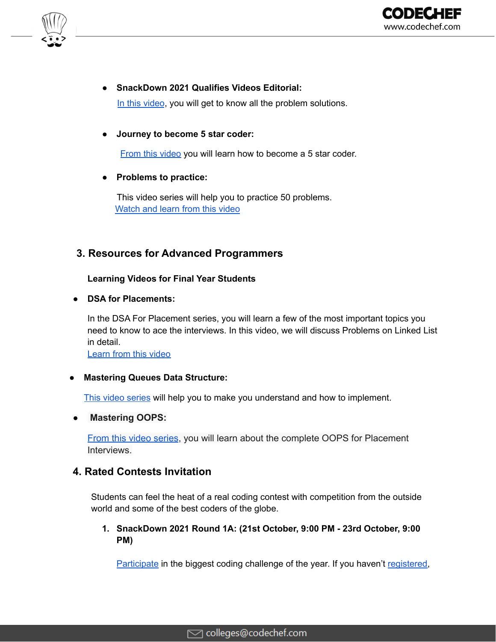

**● SnackDown 2021 Qualifies Videos Editorial:** In this [video](https://youtube.com/playlist?list=PLQXZIFwMtjoyZO38iilyCVrQ_uLAg1kbe), you will get to know all the problem solutions.

#### **● Journey to become 5 star coder:**

From this [video](https://youtu.be/xAVTRuEHXDw) you will learn how to become a 5 star coder.

#### **● Problems to practice:**

This video series will help you to practice 50 problems. [Watch](https://www.youtube.com/playlist?list=PLQXZIFwMtjowmOYVEIxMBHNLm9nm8QwjL) and learn from this video

### **3. Resources for Advanced Programmers**

**Learning Videos for Final Year Students**

### **● DSA for Placements:**

In the DSA For Placement series, you will learn a few of the most important topics you need to know to ace the interviews. In this video, we will discuss Problems on Linked List in detail.

[Learn](https://bit.ly/3zUgPRY) from this video

### **● Mastering Queues Data Structure:**

This video [series](https://youtube.com/playlist?list=PLQXZIFwMtjozkL2rciNadErsagNFRYQK7) will help you to make you understand and how to implement.

### **● Mastering OOPS:**

From this video [series](https://youtube.com/playlist?list=PLQXZIFwMtjoweNTnkpy7Qj-6gfwuVqx24), you will learn about the complete OOPS for Placement Interviews.

### **4. Rated Contests Invitation**

Students can feel the heat of a real coding contest with competition from the outside world and some of the best coders of the globe.

**1. SnackDown 2021 Round 1A: (21st October, 9:00 PM - 23rd October, 9:00 PM)**

[Participate](https://www.codechef.com/SNCK1A21?itm_medium=adstrip&itm_campaign=CC_SnackDown_2021) in the biggest coding challenge of the year. If you haven't [registered,](https://snackdown.codechef.com/?utm_source=email&utm_medium=outreach&utm_campaign=CC_SnackDown_2021)